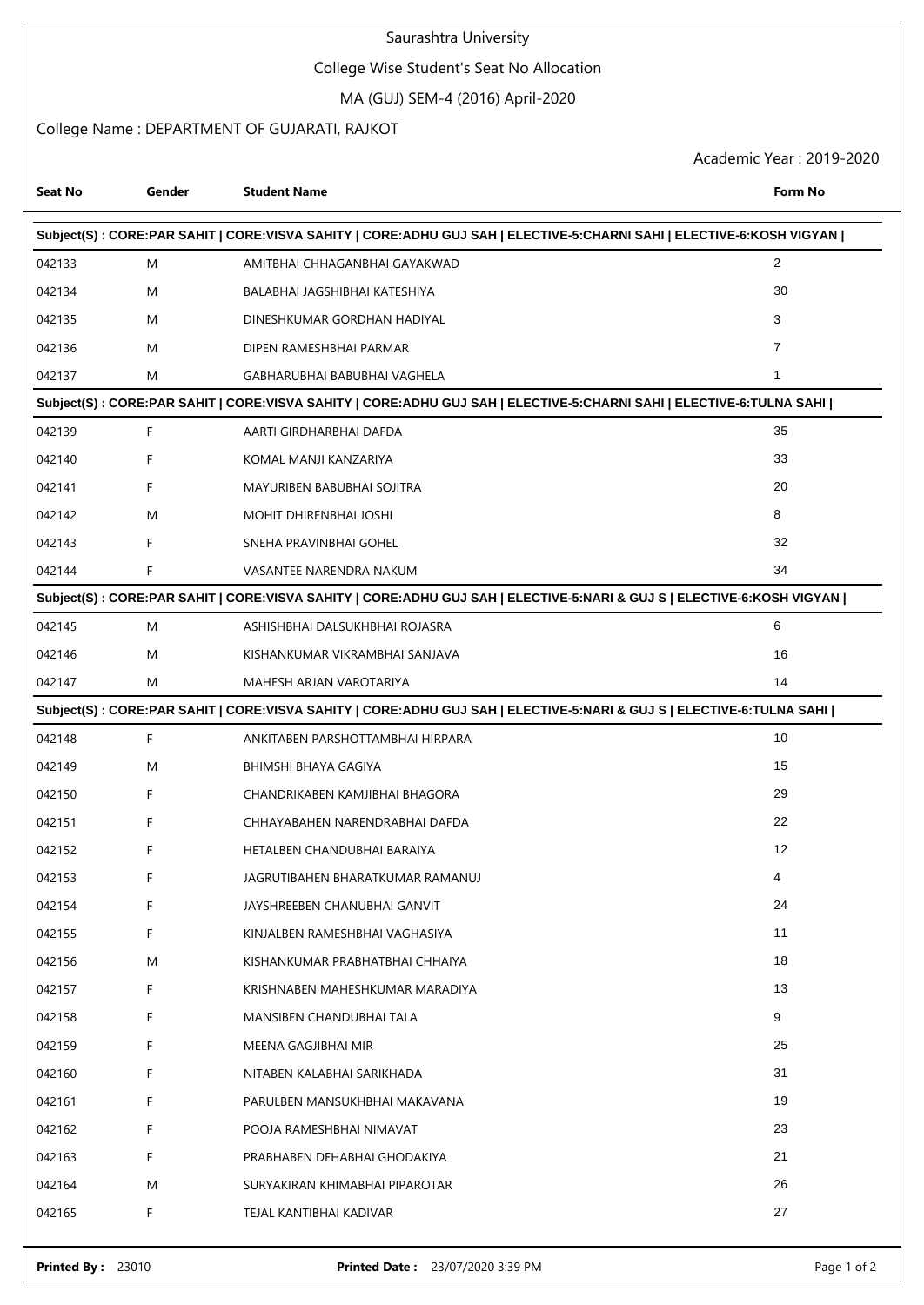#### Saurashtra University

# College Wise Student's Seat No Allocation

# MA (GUJ) SEM-4 (2016) April-2020

# College Name : DEPARTMENT OF GUJARATI, RAJKOT

Academic Year : 2019-2020

| Subject(S): CORE:PAR SAHIT   CORE:VISVA SAHITY   CORE:ADHU GUJ SAH   ELECTIVE-5:CHARNI SAHI   ELECTIVE-6:KOSH VIGYAN  <br>$\overline{2}$<br>042133<br>Μ<br>AMITBHAI CHHAGANBHAI GAYAKWAD<br>042134<br>M<br>30<br>BALABHAI JAGSHIBHAI KATESHIYA<br>042135<br>3<br>M<br>DINESHKUMAR GORDHAN HADIYAL<br>042136<br>7<br>M<br>DIPEN RAMESHBHAI PARMAR<br>042137<br>M<br>$\mathbf{1}$<br>GABHARUBHAI BABUBHAI VAGHELA<br>Subject(S): CORE:PAR SAHIT   CORE:VISVA SAHITY   CORE:ADHU GUJ SAH   ELECTIVE-5:CHARNI SAHI   ELECTIVE-6:TULNA SAHI  <br>F<br>35<br>042139<br>AARTI GIRDHARBHAI DAFDA<br>042140<br>F<br>KOMAL MANJI KANZARIYA<br>33<br>F<br>20<br>042141<br><b>MAYURIBEN BABUBHAI SOJITRA</b><br>8<br>042142<br>M<br><b>MOHIT DHIRENBHAI JOSHI</b><br>042143<br>F<br>32<br>SNEHA PRAVINBHAI GOHEL<br>F<br>34<br>042144<br>VASANTEE NARENDRA NAKUM<br>Subject(S) : CORE:PAR SAHIT   CORE:VISVA SAHITY   CORE:ADHU GUJ SAH   ELECTIVE-5:NARI & GUJ S   ELECTIVE-6:KOSH VIGYAN  <br>6<br>042145<br>Μ<br>ASHISHBHAI DALSUKHBHAI ROJASRA<br>16<br>042146<br>M<br>KISHANKUMAR VIKRAMBHAI SANJAVA<br>14<br>042147<br>Μ<br>MAHESH ARJAN VAROTARIYA<br>Subject(S) : CORE:PAR SAHIT   CORE:VISVA SAHITY   CORE:ADHU GUJ SAH   ELECTIVE-5:NARI & GUJ S   ELECTIVE-6:TULNA SAHI  <br>F<br>10<br>042148<br>ANKITABEN PARSHOTTAMBHAI HIRPARA<br>15<br>042149<br>M<br>BHIMSHI BHAYA GAGIYA<br>042150<br>F.<br>29<br>CHANDRIKABEN KAMJIBHAI BHAGORA<br>22<br>042151<br>F<br>CHHAYABAHEN NARENDRABHAI DAFDA<br>12<br>042152<br><b>HETALBEN CHANDUBHAI BARAIYA</b><br>F<br>042153<br>JAGRUTIBAHEN BHARATKUMAR RAMANUJ<br>4<br>24<br>042154<br>F<br>JAYSHREEBEN CHANUBHAI GANVIT<br>11<br>042155<br>F<br>KINJALBEN RAMESHBHAI VAGHASIYA<br>18<br>042156<br>M<br>KISHANKUMAR PRABHATBHAI CHHAIYA<br>13<br>042157<br>F.<br>KRISHNABEN MAHESHKUMAR MARADIYA<br>9<br>042158<br>F<br>MANSIBEN CHANDUBHAI TALA<br>042159<br>F.<br>25<br>MEENA GAGJIBHAI MIR<br>31<br>042160<br>F<br>NITABEN KALABHAI SARIKHADA<br>19<br>042161<br>F<br>PARULBEN MANSUKHBHAI MAKAVANA<br>23<br>042162<br>F.<br>POOJA RAMESHBHAI NIMAVAT<br>21<br>042163<br>F<br>PRABHABEN DEHABHAI GHODAKIYA<br>26<br>042164<br>M<br>SURYAKIRAN KHIMABHAI PIPAROTAR<br>27<br>042165<br>F.<br>TEJAL KANTIBHAI KADIVAR | Seat No | Gender | <b>Student Name</b> | Form No |  |  |  |  |
|---------------------------------------------------------------------------------------------------------------------------------------------------------------------------------------------------------------------------------------------------------------------------------------------------------------------------------------------------------------------------------------------------------------------------------------------------------------------------------------------------------------------------------------------------------------------------------------------------------------------------------------------------------------------------------------------------------------------------------------------------------------------------------------------------------------------------------------------------------------------------------------------------------------------------------------------------------------------------------------------------------------------------------------------------------------------------------------------------------------------------------------------------------------------------------------------------------------------------------------------------------------------------------------------------------------------------------------------------------------------------------------------------------------------------------------------------------------------------------------------------------------------------------------------------------------------------------------------------------------------------------------------------------------------------------------------------------------------------------------------------------------------------------------------------------------------------------------------------------------------------------------------------------------------------------------------------------------------------------------------------------------------------------------------------------------------------------------------------------------------------------------------------------------------------------------------------------------------------------------------------------------|---------|--------|---------------------|---------|--|--|--|--|
|                                                                                                                                                                                                                                                                                                                                                                                                                                                                                                                                                                                                                                                                                                                                                                                                                                                                                                                                                                                                                                                                                                                                                                                                                                                                                                                                                                                                                                                                                                                                                                                                                                                                                                                                                                                                                                                                                                                                                                                                                                                                                                                                                                                                                                                               |         |        |                     |         |  |  |  |  |
|                                                                                                                                                                                                                                                                                                                                                                                                                                                                                                                                                                                                                                                                                                                                                                                                                                                                                                                                                                                                                                                                                                                                                                                                                                                                                                                                                                                                                                                                                                                                                                                                                                                                                                                                                                                                                                                                                                                                                                                                                                                                                                                                                                                                                                                               |         |        |                     |         |  |  |  |  |
|                                                                                                                                                                                                                                                                                                                                                                                                                                                                                                                                                                                                                                                                                                                                                                                                                                                                                                                                                                                                                                                                                                                                                                                                                                                                                                                                                                                                                                                                                                                                                                                                                                                                                                                                                                                                                                                                                                                                                                                                                                                                                                                                                                                                                                                               |         |        |                     |         |  |  |  |  |
|                                                                                                                                                                                                                                                                                                                                                                                                                                                                                                                                                                                                                                                                                                                                                                                                                                                                                                                                                                                                                                                                                                                                                                                                                                                                                                                                                                                                                                                                                                                                                                                                                                                                                                                                                                                                                                                                                                                                                                                                                                                                                                                                                                                                                                                               |         |        |                     |         |  |  |  |  |
|                                                                                                                                                                                                                                                                                                                                                                                                                                                                                                                                                                                                                                                                                                                                                                                                                                                                                                                                                                                                                                                                                                                                                                                                                                                                                                                                                                                                                                                                                                                                                                                                                                                                                                                                                                                                                                                                                                                                                                                                                                                                                                                                                                                                                                                               |         |        |                     |         |  |  |  |  |
|                                                                                                                                                                                                                                                                                                                                                                                                                                                                                                                                                                                                                                                                                                                                                                                                                                                                                                                                                                                                                                                                                                                                                                                                                                                                                                                                                                                                                                                                                                                                                                                                                                                                                                                                                                                                                                                                                                                                                                                                                                                                                                                                                                                                                                                               |         |        |                     |         |  |  |  |  |
|                                                                                                                                                                                                                                                                                                                                                                                                                                                                                                                                                                                                                                                                                                                                                                                                                                                                                                                                                                                                                                                                                                                                                                                                                                                                                                                                                                                                                                                                                                                                                                                                                                                                                                                                                                                                                                                                                                                                                                                                                                                                                                                                                                                                                                                               |         |        |                     |         |  |  |  |  |
|                                                                                                                                                                                                                                                                                                                                                                                                                                                                                                                                                                                                                                                                                                                                                                                                                                                                                                                                                                                                                                                                                                                                                                                                                                                                                                                                                                                                                                                                                                                                                                                                                                                                                                                                                                                                                                                                                                                                                                                                                                                                                                                                                                                                                                                               |         |        |                     |         |  |  |  |  |
|                                                                                                                                                                                                                                                                                                                                                                                                                                                                                                                                                                                                                                                                                                                                                                                                                                                                                                                                                                                                                                                                                                                                                                                                                                                                                                                                                                                                                                                                                                                                                                                                                                                                                                                                                                                                                                                                                                                                                                                                                                                                                                                                                                                                                                                               |         |        |                     |         |  |  |  |  |
|                                                                                                                                                                                                                                                                                                                                                                                                                                                                                                                                                                                                                                                                                                                                                                                                                                                                                                                                                                                                                                                                                                                                                                                                                                                                                                                                                                                                                                                                                                                                                                                                                                                                                                                                                                                                                                                                                                                                                                                                                                                                                                                                                                                                                                                               |         |        |                     |         |  |  |  |  |
|                                                                                                                                                                                                                                                                                                                                                                                                                                                                                                                                                                                                                                                                                                                                                                                                                                                                                                                                                                                                                                                                                                                                                                                                                                                                                                                                                                                                                                                                                                                                                                                                                                                                                                                                                                                                                                                                                                                                                                                                                                                                                                                                                                                                                                                               |         |        |                     |         |  |  |  |  |
|                                                                                                                                                                                                                                                                                                                                                                                                                                                                                                                                                                                                                                                                                                                                                                                                                                                                                                                                                                                                                                                                                                                                                                                                                                                                                                                                                                                                                                                                                                                                                                                                                                                                                                                                                                                                                                                                                                                                                                                                                                                                                                                                                                                                                                                               |         |        |                     |         |  |  |  |  |
|                                                                                                                                                                                                                                                                                                                                                                                                                                                                                                                                                                                                                                                                                                                                                                                                                                                                                                                                                                                                                                                                                                                                                                                                                                                                                                                                                                                                                                                                                                                                                                                                                                                                                                                                                                                                                                                                                                                                                                                                                                                                                                                                                                                                                                                               |         |        |                     |         |  |  |  |  |
|                                                                                                                                                                                                                                                                                                                                                                                                                                                                                                                                                                                                                                                                                                                                                                                                                                                                                                                                                                                                                                                                                                                                                                                                                                                                                                                                                                                                                                                                                                                                                                                                                                                                                                                                                                                                                                                                                                                                                                                                                                                                                                                                                                                                                                                               |         |        |                     |         |  |  |  |  |
|                                                                                                                                                                                                                                                                                                                                                                                                                                                                                                                                                                                                                                                                                                                                                                                                                                                                                                                                                                                                                                                                                                                                                                                                                                                                                                                                                                                                                                                                                                                                                                                                                                                                                                                                                                                                                                                                                                                                                                                                                                                                                                                                                                                                                                                               |         |        |                     |         |  |  |  |  |
|                                                                                                                                                                                                                                                                                                                                                                                                                                                                                                                                                                                                                                                                                                                                                                                                                                                                                                                                                                                                                                                                                                                                                                                                                                                                                                                                                                                                                                                                                                                                                                                                                                                                                                                                                                                                                                                                                                                                                                                                                                                                                                                                                                                                                                                               |         |        |                     |         |  |  |  |  |
|                                                                                                                                                                                                                                                                                                                                                                                                                                                                                                                                                                                                                                                                                                                                                                                                                                                                                                                                                                                                                                                                                                                                                                                                                                                                                                                                                                                                                                                                                                                                                                                                                                                                                                                                                                                                                                                                                                                                                                                                                                                                                                                                                                                                                                                               |         |        |                     |         |  |  |  |  |
|                                                                                                                                                                                                                                                                                                                                                                                                                                                                                                                                                                                                                                                                                                                                                                                                                                                                                                                                                                                                                                                                                                                                                                                                                                                                                                                                                                                                                                                                                                                                                                                                                                                                                                                                                                                                                                                                                                                                                                                                                                                                                                                                                                                                                                                               |         |        |                     |         |  |  |  |  |
|                                                                                                                                                                                                                                                                                                                                                                                                                                                                                                                                                                                                                                                                                                                                                                                                                                                                                                                                                                                                                                                                                                                                                                                                                                                                                                                                                                                                                                                                                                                                                                                                                                                                                                                                                                                                                                                                                                                                                                                                                                                                                                                                                                                                                                                               |         |        |                     |         |  |  |  |  |
|                                                                                                                                                                                                                                                                                                                                                                                                                                                                                                                                                                                                                                                                                                                                                                                                                                                                                                                                                                                                                                                                                                                                                                                                                                                                                                                                                                                                                                                                                                                                                                                                                                                                                                                                                                                                                                                                                                                                                                                                                                                                                                                                                                                                                                                               |         |        |                     |         |  |  |  |  |
|                                                                                                                                                                                                                                                                                                                                                                                                                                                                                                                                                                                                                                                                                                                                                                                                                                                                                                                                                                                                                                                                                                                                                                                                                                                                                                                                                                                                                                                                                                                                                                                                                                                                                                                                                                                                                                                                                                                                                                                                                                                                                                                                                                                                                                                               |         |        |                     |         |  |  |  |  |
|                                                                                                                                                                                                                                                                                                                                                                                                                                                                                                                                                                                                                                                                                                                                                                                                                                                                                                                                                                                                                                                                                                                                                                                                                                                                                                                                                                                                                                                                                                                                                                                                                                                                                                                                                                                                                                                                                                                                                                                                                                                                                                                                                                                                                                                               |         |        |                     |         |  |  |  |  |
|                                                                                                                                                                                                                                                                                                                                                                                                                                                                                                                                                                                                                                                                                                                                                                                                                                                                                                                                                                                                                                                                                                                                                                                                                                                                                                                                                                                                                                                                                                                                                                                                                                                                                                                                                                                                                                                                                                                                                                                                                                                                                                                                                                                                                                                               |         |        |                     |         |  |  |  |  |
|                                                                                                                                                                                                                                                                                                                                                                                                                                                                                                                                                                                                                                                                                                                                                                                                                                                                                                                                                                                                                                                                                                                                                                                                                                                                                                                                                                                                                                                                                                                                                                                                                                                                                                                                                                                                                                                                                                                                                                                                                                                                                                                                                                                                                                                               |         |        |                     |         |  |  |  |  |
|                                                                                                                                                                                                                                                                                                                                                                                                                                                                                                                                                                                                                                                                                                                                                                                                                                                                                                                                                                                                                                                                                                                                                                                                                                                                                                                                                                                                                                                                                                                                                                                                                                                                                                                                                                                                                                                                                                                                                                                                                                                                                                                                                                                                                                                               |         |        |                     |         |  |  |  |  |
|                                                                                                                                                                                                                                                                                                                                                                                                                                                                                                                                                                                                                                                                                                                                                                                                                                                                                                                                                                                                                                                                                                                                                                                                                                                                                                                                                                                                                                                                                                                                                                                                                                                                                                                                                                                                                                                                                                                                                                                                                                                                                                                                                                                                                                                               |         |        |                     |         |  |  |  |  |
|                                                                                                                                                                                                                                                                                                                                                                                                                                                                                                                                                                                                                                                                                                                                                                                                                                                                                                                                                                                                                                                                                                                                                                                                                                                                                                                                                                                                                                                                                                                                                                                                                                                                                                                                                                                                                                                                                                                                                                                                                                                                                                                                                                                                                                                               |         |        |                     |         |  |  |  |  |
|                                                                                                                                                                                                                                                                                                                                                                                                                                                                                                                                                                                                                                                                                                                                                                                                                                                                                                                                                                                                                                                                                                                                                                                                                                                                                                                                                                                                                                                                                                                                                                                                                                                                                                                                                                                                                                                                                                                                                                                                                                                                                                                                                                                                                                                               |         |        |                     |         |  |  |  |  |
|                                                                                                                                                                                                                                                                                                                                                                                                                                                                                                                                                                                                                                                                                                                                                                                                                                                                                                                                                                                                                                                                                                                                                                                                                                                                                                                                                                                                                                                                                                                                                                                                                                                                                                                                                                                                                                                                                                                                                                                                                                                                                                                                                                                                                                                               |         |        |                     |         |  |  |  |  |
|                                                                                                                                                                                                                                                                                                                                                                                                                                                                                                                                                                                                                                                                                                                                                                                                                                                                                                                                                                                                                                                                                                                                                                                                                                                                                                                                                                                                                                                                                                                                                                                                                                                                                                                                                                                                                                                                                                                                                                                                                                                                                                                                                                                                                                                               |         |        |                     |         |  |  |  |  |
|                                                                                                                                                                                                                                                                                                                                                                                                                                                                                                                                                                                                                                                                                                                                                                                                                                                                                                                                                                                                                                                                                                                                                                                                                                                                                                                                                                                                                                                                                                                                                                                                                                                                                                                                                                                                                                                                                                                                                                                                                                                                                                                                                                                                                                                               |         |        |                     |         |  |  |  |  |
|                                                                                                                                                                                                                                                                                                                                                                                                                                                                                                                                                                                                                                                                                                                                                                                                                                                                                                                                                                                                                                                                                                                                                                                                                                                                                                                                                                                                                                                                                                                                                                                                                                                                                                                                                                                                                                                                                                                                                                                                                                                                                                                                                                                                                                                               |         |        |                     |         |  |  |  |  |
|                                                                                                                                                                                                                                                                                                                                                                                                                                                                                                                                                                                                                                                                                                                                                                                                                                                                                                                                                                                                                                                                                                                                                                                                                                                                                                                                                                                                                                                                                                                                                                                                                                                                                                                                                                                                                                                                                                                                                                                                                                                                                                                                                                                                                                                               |         |        |                     |         |  |  |  |  |
|                                                                                                                                                                                                                                                                                                                                                                                                                                                                                                                                                                                                                                                                                                                                                                                                                                                                                                                                                                                                                                                                                                                                                                                                                                                                                                                                                                                                                                                                                                                                                                                                                                                                                                                                                                                                                                                                                                                                                                                                                                                                                                                                                                                                                                                               |         |        |                     |         |  |  |  |  |
|                                                                                                                                                                                                                                                                                                                                                                                                                                                                                                                                                                                                                                                                                                                                                                                                                                                                                                                                                                                                                                                                                                                                                                                                                                                                                                                                                                                                                                                                                                                                                                                                                                                                                                                                                                                                                                                                                                                                                                                                                                                                                                                                                                                                                                                               |         |        |                     |         |  |  |  |  |
|                                                                                                                                                                                                                                                                                                                                                                                                                                                                                                                                                                                                                                                                                                                                                                                                                                                                                                                                                                                                                                                                                                                                                                                                                                                                                                                                                                                                                                                                                                                                                                                                                                                                                                                                                                                                                                                                                                                                                                                                                                                                                                                                                                                                                                                               |         |        |                     |         |  |  |  |  |